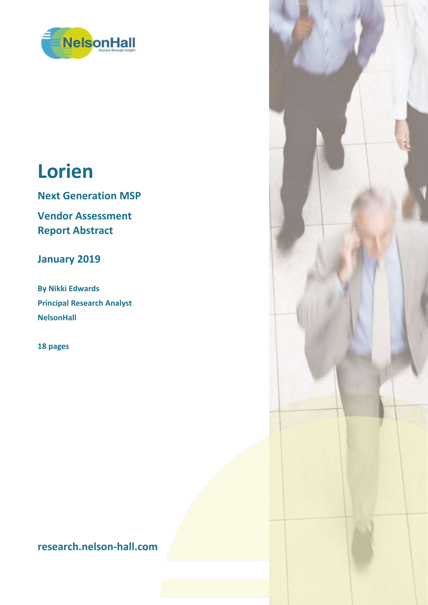

# **Lorien**

**Next Generation MSP**

**Vendor Assessment Report Abstract**

**January 2019**

**By Nikki Edwards Principal Research Analyst NelsonHall**

**18 pages**

**research.nelson-hall.com**

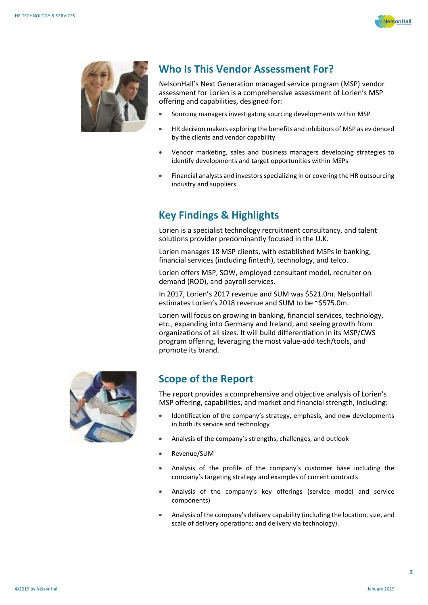



#### **Who Is This Vendor Assessment For?**

NelsonHall's Next Generation managed service program (MSP) vendor assessment for Lorien is a comprehensive assessment of Lorien's MSP offering and capabilities, designed for:

- Sourcing managers investigating sourcing developments within MSP
- HR decision makers exploring the benefits and inhibitors of MSP as evidenced by the clients and vendor capability
- Vendor marketing, sales and business managers developing strategies to identify developments and target opportunities within MSPs
- Financial analysts and investors specializing in or covering the HR outsourcing industry and suppliers.

#### **Key Findings & Highlights**

Lorien is a specialist technology recruitment consultancy, and talent solutions provider predominantly focused in the U.K.

Lorien manages 18 MSP clients, with established MSPs in banking, financial services (including fintech), technology, and telco.

Lorien offers MSP, SOW, employed consultant model, recruiter on demand (ROD), and payroll services.

In 2017, Lorien's 2017 revenue and SUM was \$521.0m. NelsonHall estimates Lorien's 2018 revenue and SUM to be ~\$575.0m.

Lorien will focus on growing in banking, financial services, technology, etc., expanding into Germany and Ireland, and seeing growth from organizations of all sizes. It will build differentiation in its MSP/CWS program offering, leveraging the most value-add tech/tools, and promote its brand.



#### **Scope of the Report**

The report provides a comprehensive and objective analysis of Lorien's MSP offering, capabilities, and market and financial strength, including:

- Identification of the company's strategy, emphasis, and new developments in both its service and technology
- Analysis of the company's strengths, challenges, and outlook
- Revenue/SUM
- Analysis of the profile of the company's customer base including the company's targeting strategy and examples of current contracts
- Analysis of the company's key offerings (service model and service components)
- Analysis of the company's delivery capability (including the location, size, and scale of delivery operations; and delivery via technology).